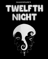# **SHAKESPEARE'S**



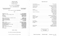### PRODUCTION STAFF

| Associate Technical Director et al., and a series are a series of the series of the IAN PRATT |                        |
|-----------------------------------------------------------------------------------------------|------------------------|
|                                                                                               |                        |
|                                                                                               |                        |
|                                                                                               |                        |
|                                                                                               | <b>RICHARD SPENCER</b> |
|                                                                                               | <b>SHERRY DARCUS</b>   |
|                                                                                               |                        |
|                                                                                               | <b>MARGE GORDON</b>    |
|                                                                                               |                        |
|                                                                                               | <b>JANE LAIDLAW</b>    |
|                                                                                               | <b>TERRY SHAW</b>      |
|                                                                                               | <b>ALAN BARRY</b>      |
|                                                                                               |                        |
|                                                                                               |                        |
|                                                                                               |                        |
|                                                                                               |                        |
|                                                                                               | <b>BRIAN TWERDUN</b>   |
|                                                                                               | PAUL BLANEY            |
|                                                                                               |                        |
|                                                                                               |                        |
|                                                                                               |                        |
|                                                                                               |                        |
|                                                                                               | <b>DAVID DICK</b>      |
|                                                                                               | <b>TINA SCHULHOF</b>   |
|                                                                                               |                        |
|                                                                                               | JOHN BROCKINGTON       |
|                                                                                               |                        |

**TWELFTH NIGHT or WHAT YOU WILL** 

by William Shakespeare

Music Composed by **GALT McDERMOT** 

Directed by **JOHN BROCKINGTON** 

Setting and Lighting Designed By **RICHARD KENT WILCOX** 

Costumes Designed By **KURT WILHELM** 

Music Arranged and Conducted by; **JOHN OWEN** 

# **CAST**

| Gentlemen Attending on Orsino<br>Valentine $\lambda$                                                                                                                                                                                                                                               |  |
|----------------------------------------------------------------------------------------------------------------------------------------------------------------------------------------------------------------------------------------------------------------------------------------------------|--|
| <b>Curio</b>                                                                                                                                                                                                                                                                                       |  |
| $\cdots$ KENNETH RYAN<br><b>First Officer</b>                                                                                                                                                                                                                                                      |  |
|                                                                                                                                                                                                                                                                                                    |  |
|                                                                                                                                                                                                                                                                                                    |  |
| Viola, A Shipwrecked Lady, later disguised as Cesario LARRY LILLO                                                                                                                                                                                                                                  |  |
|                                                                                                                                                                                                                                                                                                    |  |
|                                                                                                                                                                                                                                                                                                    |  |
| Antonio, Another Sea Captain (Albert 2018) And Contact Albert 2018 (ALAN GUY                                                                                                                                                                                                                       |  |
| Sailor $\mathbb{P}^1$ , $\mathbb{P}^1$ , $\mathbb{P}^1$ , $\mathbb{P}^1$ , $\mathbb{P}^1$ , $\mathbb{P}^1$ , $\mathbb{P}^1$ , $\mathbb{P}^1$ , $\mathbb{P}^1$ , $\mathbb{P}^1$ , $\mathbb{P}^1$ , $\mathbb{P}^1$ , $\mathbb{P}^1$ , $\mathbb{P}^1$ , $\mathbb{P}^1$ , $\mathbb{P}^1$ , $\mathbb{P$ |  |
|                                                                                                                                                                                                                                                                                                    |  |
| Olivia, A Countess and Alberta Alberta Alberta Alberta Alberta Alberta Alberta Alberta Alberta Alberta Alberta A                                                                                                                                                                                   |  |
|                                                                                                                                                                                                                                                                                                    |  |
|                                                                                                                                                                                                                                                                                                    |  |
|                                                                                                                                                                                                                                                                                                    |  |
|                                                                                                                                                                                                                                                                                                    |  |
| Feste, Her Jester $\ldots$ , $\ldots$ , $\ldots$ , $\ldots$ , $\ldots$ , $\ldots$ , $\ldots$ . $\ldots$ VICTOR YOUNG                                                                                                                                                                               |  |
|                                                                                                                                                                                                                                                                                                    |  |
|                                                                                                                                                                                                                                                                                                    |  |
| Lady Attendant (2002) 2014 12: 2014 12: 2014 12: 2015 12: 2016 12: 2016 12: 2016 12: 2016 12: 2016 12: 2016 12: 2016 12: 2016 12: 2016 12: 2016 12: 2016 12: 2016 12: 2016 12: 2016 12: 2016 12: 2016 12: 2016 12: 2016 12: 20                                                                     |  |
|                                                                                                                                                                                                                                                                                                    |  |

SCENE: ILLYRIA

*There Will Be One Intermission Of Fifteen Minutes* 

*'Appearing by permission of Actors' Equity Association* 

Frederic Wood Theatre - TWELFTH NIGHT - November 13th to 25th  $T$ OTPI

Hairstyles by Marcus of **The Vikings**